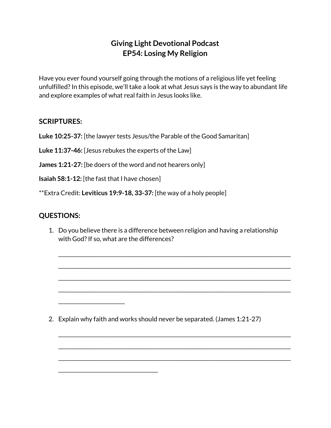## **Giving Light Devotional Podcast EP54: Losing My Religion**

Have you ever found yourself going through the motions of a religious life yet feeling unfulfilled?In this episode, we'll take a look at what Jesus says is the way to abundant life and explore examples of what real faith in Jesus looks like.

## **SCRIPTURES:**

**Luke 10:25-37:** [the lawyer tests Jesus/the Parable of the Good Samaritan]

**Luke 11:37-46:** [Jesus rebukes the experts of the Law]

**James 1:21-27:** [be doers of the word and not hearers only]

**Isaiah 58:1-12:** [the fast that I have chosen]

\_\_\_\_\_\_\_\_\_\_\_\_\_\_\_\_\_\_\_\_\_\_\_\_\_\_

\_\_\_\_\_\_\_\_\_\_\_\_\_\_\_\_\_\_\_\_\_\_\_\_\_\_\_\_\_\_\_\_\_\_\_\_\_\_\_

\*\*Extra Credit: **Leviticus 19:9-18, 33-37:** [the way of a holy people]

## **QUESTIONS:**

1. Do you believe there is a difference between religion and having a relationship with God? If so, what are the differences?

\_\_\_\_\_\_\_\_\_\_\_\_\_\_\_\_\_\_\_\_\_\_\_\_\_\_\_\_\_\_\_\_\_\_\_\_\_\_\_\_\_\_\_\_\_\_\_\_\_\_\_\_\_\_\_\_\_\_\_\_\_\_\_\_\_\_\_\_\_\_\_\_\_\_\_\_\_\_\_\_\_\_\_\_\_\_\_\_\_\_\_

\_\_\_\_\_\_\_\_\_\_\_\_\_\_\_\_\_\_\_\_\_\_\_\_\_\_\_\_\_\_\_\_\_\_\_\_\_\_\_\_\_\_\_\_\_\_\_\_\_\_\_\_\_\_\_\_\_\_\_\_\_\_\_\_\_\_\_\_\_\_\_\_\_\_\_\_\_\_\_\_\_\_\_\_\_\_\_\_\_\_\_

\_\_\_\_\_\_\_\_\_\_\_\_\_\_\_\_\_\_\_\_\_\_\_\_\_\_\_\_\_\_\_\_\_\_\_\_\_\_\_\_\_\_\_\_\_\_\_\_\_\_\_\_\_\_\_\_\_\_\_\_\_\_\_\_\_\_\_\_\_\_\_\_\_\_\_\_\_\_\_\_\_\_\_\_\_\_\_\_\_\_\_

\_\_\_\_\_\_\_\_\_\_\_\_\_\_\_\_\_\_\_\_\_\_\_\_\_\_\_\_\_\_\_\_\_\_\_\_\_\_\_\_\_\_\_\_\_\_\_\_\_\_\_\_\_\_\_\_\_\_\_\_\_\_\_\_\_\_\_\_\_\_\_\_\_\_\_\_\_\_\_\_\_\_\_\_\_\_\_\_\_\_\_

\_\_\_\_\_\_\_\_\_\_\_\_\_\_\_\_\_\_\_\_\_\_\_\_\_\_\_\_\_\_\_\_\_\_\_\_\_\_\_\_\_\_\_\_\_\_\_\_\_\_\_\_\_\_\_\_\_\_\_\_\_\_\_\_\_\_\_\_\_\_\_\_\_\_\_\_\_\_\_\_\_\_\_\_\_\_\_\_\_\_\_

\_\_\_\_\_\_\_\_\_\_\_\_\_\_\_\_\_\_\_\_\_\_\_\_\_\_\_\_\_\_\_\_\_\_\_\_\_\_\_\_\_\_\_\_\_\_\_\_\_\_\_\_\_\_\_\_\_\_\_\_\_\_\_\_\_\_\_\_\_\_\_\_\_\_\_\_\_\_\_\_\_\_\_\_\_\_\_\_\_\_\_

\_\_\_\_\_\_\_\_\_\_\_\_\_\_\_\_\_\_\_\_\_\_\_\_\_\_\_\_\_\_\_\_\_\_\_\_\_\_\_\_\_\_\_\_\_\_\_\_\_\_\_\_\_\_\_\_\_\_\_\_\_\_\_\_\_\_\_\_\_\_\_\_\_\_\_\_\_\_\_\_\_\_\_\_\_\_\_\_\_\_\_

2. Explain why faith and works should never be separated. (James 1:21-27)